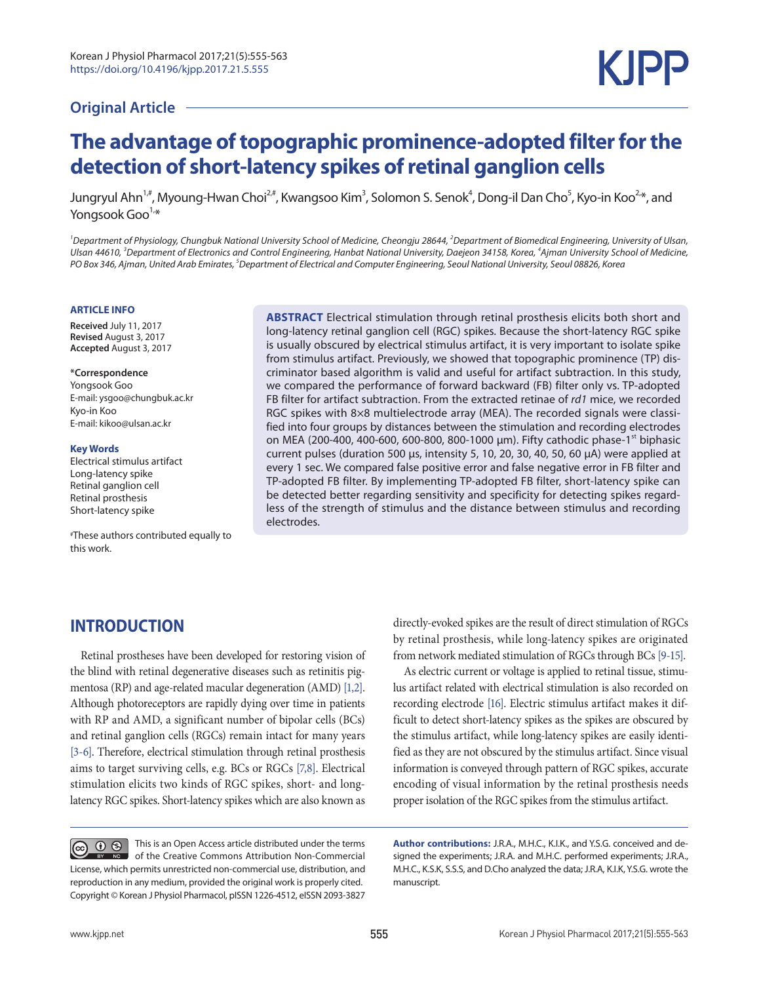### **Original Article**

# **The advantage of topographic prominence-adopted filter for the detection of short-latency spikes of retinal ganglion cells**

Jungryul Ahn<sup>1,#</sup>, Myoung-Hwan Choi<sup>2,#</sup>, Kwangsoo Kim<sup>3</sup>, Solomon S. Senok<sup>4</sup>, Dong-il Dan Cho<sup>5</sup>, Kyo-in Koo<sup>2,</sup>\*, and Yongsook Goo $1, *$ 

<sup>1</sup> Department of Physiology, Chungbuk National University School of Medicine, Cheongju 28644, <sup>2</sup>Department of Biomedical Engineering, University of Ulsan, *Ulsan 44610, <sup>3</sup> Department of Electronics and Control Engineering, Hanbat National University, Daejeon 34158, Korea, <sup>4</sup> Ajman University School of Medicine, PO Box 346, Ajman, United Arab Emirates, 5 Department of Electrical and Computer Engineering, Seoul National University, Seoul 08826, Korea*

#### **ARTICLE INFO**

**Received** July 11, 2017 **Revised** August 3, 2017 **Accepted** August 3, 2017

#### **\*Correspondence**

Yongsook Goo E-mail: ysgoo@chungbuk.ac.kr Kyo-in Koo E-mail: kikoo@ulsan.ac.kr

#### **Key Words**

Electrical stimulus artifact Long-latency spike Retinal ganglion cell Retinal prosthesis Short-latency spike

#These authors contributed equally to this work.

**ABSTRACT** Electrical stimulation through retinal prosthesis elicits both short and long-latency retinal ganglion cell (RGC) spikes. Because the short-latency RGC spike is usually obscured by electrical stimulus artifact, it is very important to isolate spike from stimulus artifact. Previously, we showed that topographic prominence (TP) discriminator based algorithm is valid and useful for artifact subtraction. In this study, we compared the performance of forward backward (FB) filter only vs. TP-adopted FB filter for artifact subtraction. From the extracted retinae of *rd1* mice, we recorded RGC spikes with 8×8 multielectrode array (MEA). The recorded signals were classified into four groups by distances between the stimulation and recording electrodes on MEA (200-400, 400-600, 600-800, 800-1000 μm). Fifty cathodic phase-1<sup>st</sup> biphasic current pulses (duration 500 µs, intensity 5, 10, 20, 30, 40, 50, 60 μA) were applied at every 1 sec. We compared false positive error and false negative error in FB filter and TP-adopted FB filter. By implementing TP-adopted FB filter, short-latency spike can be detected better regarding sensitivity and specificity for detecting spikes regardless of the strength of stimulus and the distance between stimulus and recording electrodes.

# **INTRODUCTION**

Retinal prostheses have been developed for restoring vision of the blind with retinal degenerative diseases such as retinitis pigmentosa (RP) and age-related macular degeneration (AMD) [1,2]. Although photoreceptors are rapidly dying over time in patients with RP and AMD, a significant number of bipolar cells (BCs) and retinal ganglion cells (RGCs) remain intact for many years [3-6]. Therefore, electrical stimulation through retinal prosthesis aims to target surviving cells, e.g. BCs or RGCs [7,8]. Electrical stimulation elicits two kinds of RGC spikes, short- and longlatency RGC spikes. Short-latency spikes which are also known as

directly-evoked spikes are the result of direct stimulation of RGCs by retinal prosthesis, while long-latency spikes are originated from network mediated stimulation of RGCs through BCs [9-15].

As electric current or voltage is applied to retinal tissue, stimulus artifact related with electrical stimulation is also recorded on recording electrode [16]. Electric stimulus artifact makes it difficult to detect short-latency spikes as the spikes are obscured by the stimulus artifact, while long-latency spikes are easily identified as they are not obscured by the stimulus artifact. Since visual information is conveyed through pattern of RGC spikes, accurate encoding of visual information by the retinal prosthesis needs proper isolation of the RGC spikes from the stimulus artifact.

This is an Open Access article distributed under the terms **@ 0 0 NO** of the Creative Commons Attribution Non-Commercial License, which permits unrestricted non-commercial use, distribution, and reproduction in any medium, provided the original work is properly cited. Copyright © Korean J Physiol Pharmacol, pISSN 1226-4512, eISSN 2093-3827

**Author contributions:** J.R.A., M.H.C., K.I.K., and Y.S.G. conceived and designed the experiments; J.R.A. and M.H.C. performed experiments; J.R.A., M.H.C., K.S.K, S.S.S, and D.Cho analyzed the data; J.R.A, K.I.K, Y.S.G. wrote the manuscript.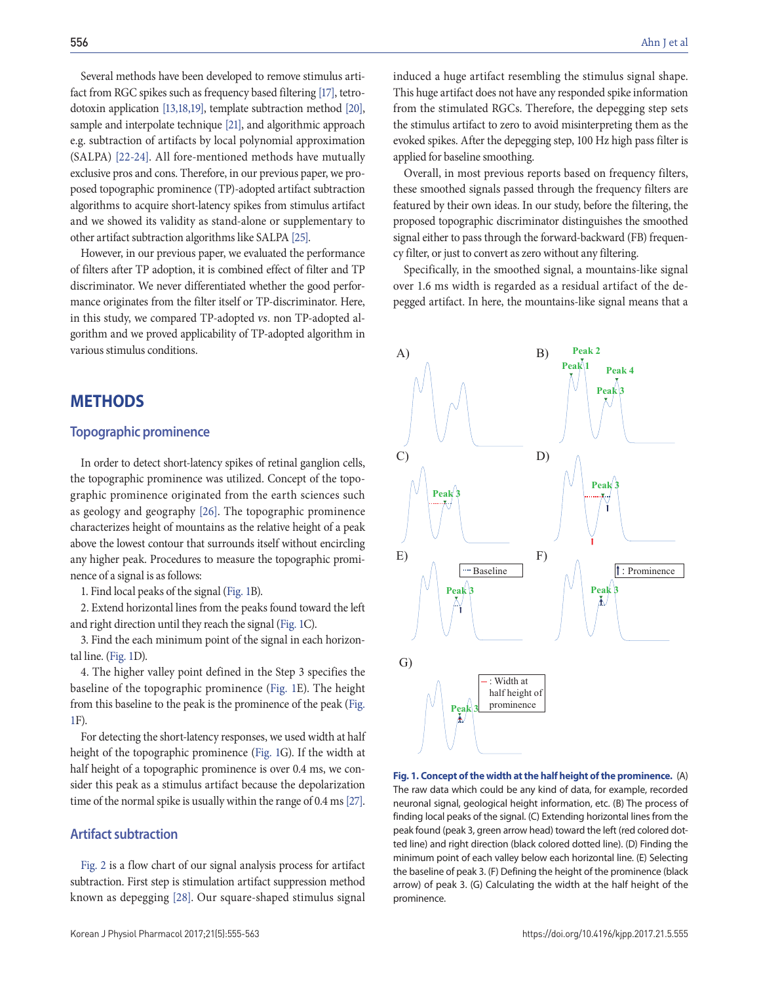Several methods have been developed to remove stimulus artifact from RGC spikes such as frequency based filtering [17], tetrodotoxin application [13,18,19], template subtraction method [20], sample and interpolate technique [21], and algorithmic approach e.g. subtraction of artifacts by local polynomial approximation (SALPA) [22-24]. All fore-mentioned methods have mutually exclusive pros and cons. Therefore, in our previous paper, we proposed topographic prominence (TP)-adopted artifact subtraction algorithms to acquire short-latency spikes from stimulus artifact and we showed its validity as stand-alone or supplementary to other artifact subtraction algorithms like SALPA [25].

However, in our previous paper, we evaluated the performance of filters after TP adoption, it is combined effect of filter and TP discriminator. We never differentiated whether the good performance originates from the filter itself or TP-discriminator. Here, in this study, we compared TP-adopted vs. non TP-adopted algorithm and we proved applicability of TP-adopted algorithm in various stimulus conditions.

#### **Methods**

#### **Topographic prominence**

In order to detect short-latency spikes of retinal ganglion cells, the topographic prominence was utilized. Concept of the topographic prominence originated from the earth sciences such as geology and geography [26]. The topographic prominence characterizes height of mountains as the relative height of a peak above the lowest contour that surrounds itself without encircling any higher peak. Procedures to measure the topographic prominence of a signal is as follows:

1. Find local peaks of the signal (Fig. 1B).

2. Extend horizontal lines from the peaks found toward the left and right direction until they reach the signal (Fig. 1C).

3. Find the each minimum point of the signal in each horizontal line. (Fig. 1D).

4. The higher valley point defined in the Step 3 specifies the baseline of the topographic prominence (Fig. 1E). The height from this baseline to the peak is the prominence of the peak (Fig. 1F).

For detecting the short-latency responses, we used width at half height of the topographic prominence (Fig. 1G). If the width at half height of a topographic prominence is over 0.4 ms, we consider this peak as a stimulus artifact because the depolarization time of the normal spike is usually within the range of 0.4 ms [27].

#### **Artifact subtraction**

Fig. 2 is a flow chart of our signal analysis process for artifact subtraction. First step is stimulation artifact suppression method known as depegging [28]. Our square-shaped stimulus signal

induced a huge artifact resembling the stimulus signal shape. This huge artifact does not have any responded spike information from the stimulated RGCs. Therefore, the depegging step sets the stimulus artifact to zero to avoid misinterpreting them as the evoked spikes. After the depegging step, 100 Hz high pass filter is applied for baseline smoothing.

Overall, in most previous reports based on frequency filters, these smoothed signals passed through the frequency filters are featured by their own ideas. In our study, before the filtering, the proposed topographic discriminator distinguishes the smoothed signal either to pass through the forward-backward (FB) frequency filter, or just to convert as zero without any filtering.

Specifically, in the smoothed signal, a mountains-like signal over 1.6 ms width is regarded as a residual artifact of the depegged artifact. In here, the mountains-like signal means that a



**Fig. 1. Concept of the width at the half height of the prominence.** (A) The raw data which could be any kind of data, for example, recorded neuronal signal, geological height information, etc. (B) The process of finding local peaks of the signal. (C) Extending horizontal lines from the peak found (peak 3, green arrow head) toward the left (red colored dotted line) and right direction (black colored dotted line). (D) Finding the minimum point of each valley below each horizontal line. (E) Selecting the baseline of peak 3. (F) Defining the height of the prominence (black arrow) of peak 3. (G) Calculating the width at the half height of the prominence.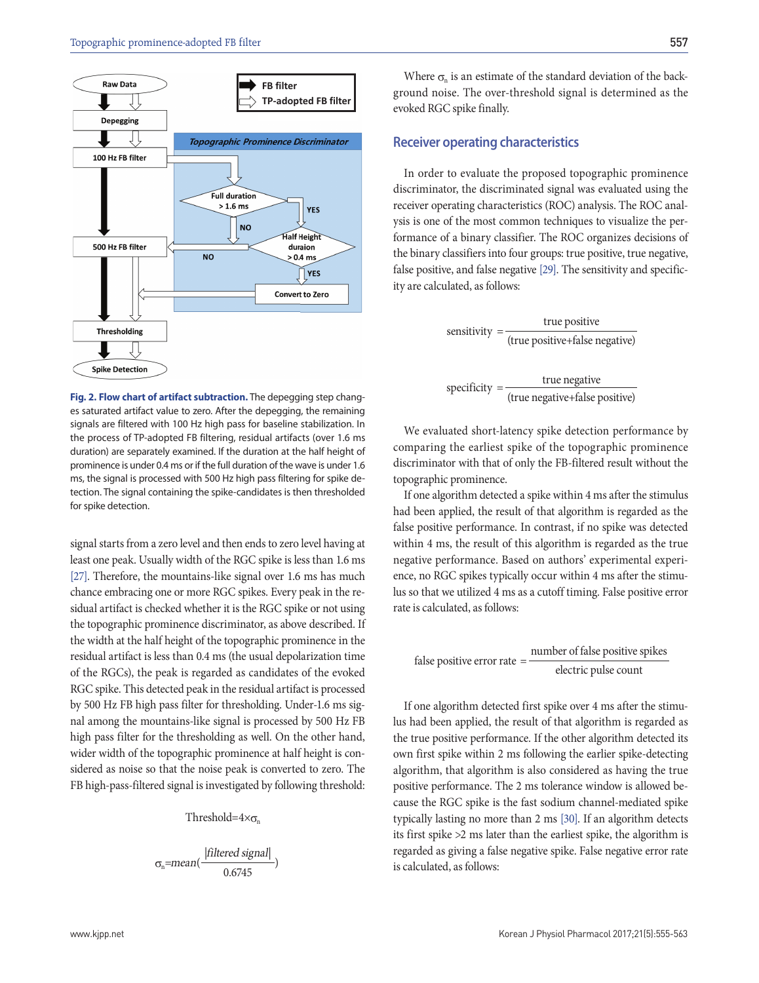

557

#### **Receiver operating characteristics**

evoked RGC spike finally.

In order to evaluate the proposed topographic prominence discriminator, the discriminated signal was evaluated using the receiver operating characteristics (ROC) analysis. The ROC analysis is one of the most common techniques to visualize the performance of a binary classifier. The ROC organizes decisions of the binary classifiers into four groups: true positive, true negative, false positive, and false negative [29]. The sensitivity and specificity are calculated, as follows:

ground noise. The over-threshold signal is determined as the

$$
sensitivity = \frac{true \ positive}{(true \ positive + false \ negative)}
$$

 $specificity = \frac{true \ negative}{time}$ (true negative+false positive)

**Fig. 2. Flow chart of artifact subtraction.** The depegging step changes saturated artifact value to zero. After the depegging, the remaining signals are filtered with 100 Hz high pass for baseline stabilization. In the process of TP-adopted FB filtering, residual artifacts (over 1.6 ms duration) are separately examined. If the duration at the half height of prominence is under 0.4 ms or if the full duration of the wave is under 1.6 ms, the signal is processed with 500 Hz high pass filtering for spike detection. The signal containing the spike-candidates is then thresholded for spike detection.

signal starts from a zero level and then ends to zero level having at least one peak. Usually width of the RGC spike is less than 1.6 ms [27]. Therefore, the mountains-like signal over 1.6 ms has much chance embracing one or more RGC spikes. Every peak in the residual artifact is checked whether it is the RGC spike or not using the topographic prominence discriminator, as above described. If the width at the half height of the topographic prominence in the residual artifact is less than 0.4 ms (the usual depolarization time of the RGCs), the peak is regarded as candidates of the evoked RGC spike. This detected peak in the residual artifact is processed by 500 Hz FB high pass filter for thresholding. Under-1.6 ms signal among the mountains-like signal is processed by 500 Hz FB high pass filter for the thresholding as well. On the other hand, wider width of the topographic prominence at half height is considered as noise so that the noise peak is converted to zero. The FB high-pass-filtered signal is investigated by following threshold:

Threshold= $4\times\sigma_n$ 

$$
\sigma_n \!\!=\!\! \textcolor{red}{mean(\frac{|filtered\ signal|}{0.6745}})
$$

We evaluated short-latency spike detection performance by comparing the earliest spike of the topographic prominence discriminator with that of only the FB-filtered result without the topographic prominence.

If one algorithm detected a spike within 4 ms after the stimulus had been applied, the result of that algorithm is regarded as the false positive performance. In contrast, if no spike was detected within 4 ms, the result of this algorithm is regarded as the true negative performance. Based on authors' experimental experience, no RGC spikes typically occur within 4 ms after the stimulus so that we utilized 4 ms as a cutoff timing. False positive error rate is calculated, as follows:

false positive error rate  $=$   $\frac{\text{number of false positive spikes}}{\text{number of false}}$ electric pulse count

If one algorithm detected first spike over 4 ms after the stimulus had been applied, the result of that algorithm is regarded as the true positive performance. If the other algorithm detected its own first spike within 2 ms following the earlier spike-detecting algorithm, that algorithm is also considered as having the true positive performance. The 2 ms tolerance window is allowed because the RGC spike is the fast sodium channel-mediated spike typically lasting no more than 2 ms [30]. If an algorithm detects its first spike >2 ms later than the earliest spike, the algorithm is regarded as giving a false negative spike. False negative error rate is calculated, as follows: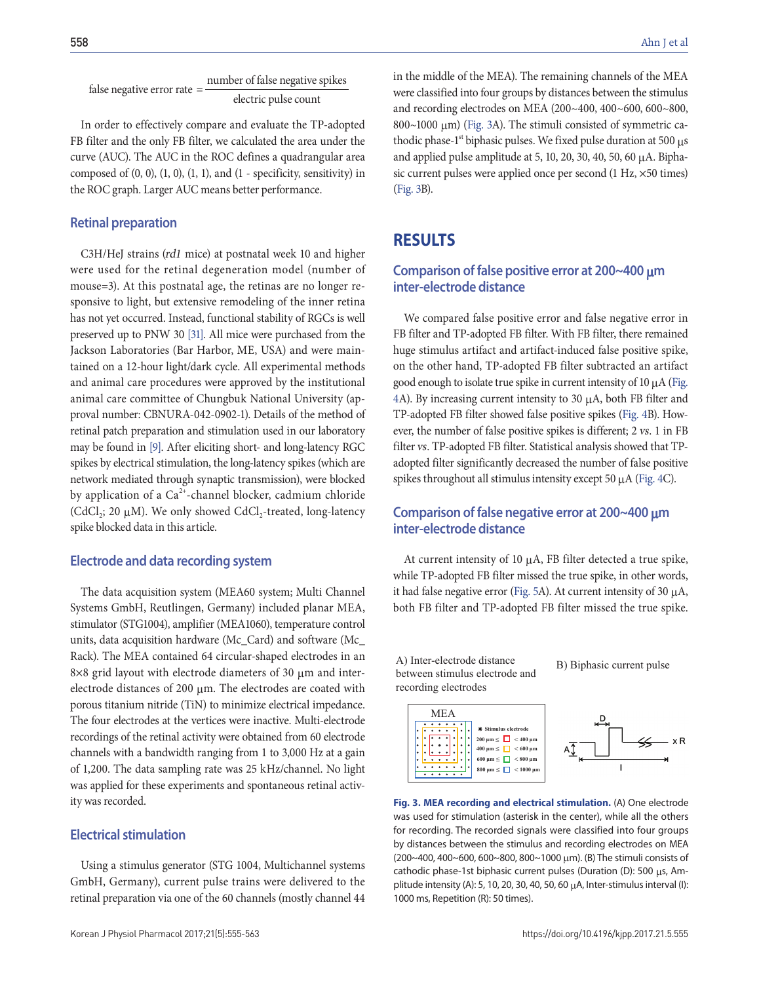false negative error rate  $=$   $\frac{\text{number of false negative spikes}}{\text{number of false.}}$ electric pulse count

In order to effectively compare and evaluate the TP-adopted FB filter and the only FB filter, we calculated the area under the curve (AUC). The AUC in the ROC defines a quadrangular area composed of  $(0, 0)$ ,  $(1, 0)$ ,  $(1, 1)$ , and  $(1 -$  specificity, sensitivity) in the ROC graph. Larger AUC means better performance.

#### **Retinal preparation**

C3H/HeJ strains (rd1 mice) at postnatal week 10 and higher were used for the retinal degeneration model (number of mouse=3). At this postnatal age, the retinas are no longer responsive to light, but extensive remodeling of the inner retina has not yet occurred. Instead, functional stability of RGCs is well preserved up to PNW 30 [31]. All mice were purchased from the Jackson Laboratories (Bar Harbor, ME, USA) and were maintained on a 12-hour light/dark cycle. All experimental methods and animal care procedures were approved by the institutional animal care committee of Chungbuk National University (approval number: CBNURA-042-0902-1). Details of the method of retinal patch preparation and stimulation used in our laboratory may be found in [9]. After eliciting short- and long-latency RGC spikes by electrical stimulation, the long-latency spikes (which are network mediated through synaptic transmission), were blocked by application of a  $Ca^{2+}$ -channel blocker, cadmium chloride (CdCl<sub>2</sub>; 20  $\mu$ M). We only showed CdCl<sub>2</sub>-treated, long-latency spike blocked data in this article.

#### **Electrode and data recording system**

The data acquisition system (MEA60 system; Multi Channel Systems GmbH, Reutlingen, Germany) included planar MEA, stimulator (STG1004), amplifier (MEA1060), temperature control units, data acquisition hardware (Mc\_Card) and software (Mc\_ Rack). The MEA contained 64 circular-shaped electrodes in an 8×8 grid layout with electrode diameters of 30 μm and interelectrode distances of 200 μm. The electrodes are coated with porous titanium nitride (TiN) to minimize electrical impedance. The four electrodes at the vertices were inactive. Multi-electrode recordings of the retinal activity were obtained from 60 electrode channels with a bandwidth ranging from 1 to 3,000 Hz at a gain of 1,200. The data sampling rate was 25 kHz/channel. No light was applied for these experiments and spontaneous retinal activity was recorded.

#### **Electrical stimulation**

Using a stimulus generator (STG 1004, Multichannel systems GmbH, Germany), current pulse trains were delivered to the retinal preparation via one of the 60 channels (mostly channel 44

in the middle of the MEA). The remaining channels of the MEA were classified into four groups by distances between the stimulus and recording electrodes on MEA (200~400, 400~600, 600~800, 800~1000 μm) (Fig. 3A). The stimuli consisted of symmetric cathodic phase- $1<sup>st</sup>$  biphasic pulses. We fixed pulse duration at 500  $\mu s$ and applied pulse amplitude at 5, 10, 20, 30, 40, 50, 60  $\mu$ A. Biphasic current pulses were applied once per second (1 Hz, ×50 times) (Fig. 3B).

### **Results**

#### **Comparison of false positive error at 200~400** μ**m inter-electrode distance**

We compared false positive error and false negative error in FB filter and TP-adopted FB filter. With FB filter, there remained huge stimulus artifact and artifact-induced false positive spike, on the other hand, TP-adopted FB filter subtracted an artifact good enough to isolate true spike in current intensity of 10 μA (Fig. 4A). By increasing current intensity to 30 μA, both FB filter and TP-adopted FB filter showed false positive spikes (Fig. 4B). However, the number of false positive spikes is different; 2 vs. 1 in FB filter vs. TP-adopted FB filter. Statistical analysis showed that TPadopted filter significantly decreased the number of false positive spikes throughout all stimulus intensity except 50 μA (Fig. 4C).

#### **Comparison of false negative error at 200~400** μ**m inter-electrode distance**

At current intensity of 10 μA, FB filter detected a true spike, while TP-adopted FB filter missed the true spike, in other words, it had false negative error (Fig. 5A). At current intensity of 30 μA, both FB filter and TP-adopted FB filter missed the true spike.

A) Inter-electrode distance between stimulus electrode and recording electrodes

B) Biphasic current pulse





**Fig. 3. MEA recording and electrical stimulation.** (A) One electrode was used for stimulation (asterisk in the center), while all the others for recording. The recorded signals were classified into four groups by distances between the stimulus and recording electrodes on MEA (200~400, 400~600, 600~800, 800~1000  $\mu$ m). (B) The stimuli consists of cathodic phase-1st biphasic current pulses (Duration (D): 500 μs, Amplitude intensity (A): 5, 10, 20, 30, 40, 50, 60 μA, Inter-stimulus interval (I): 1000 ms, Repetition (R): 50 times).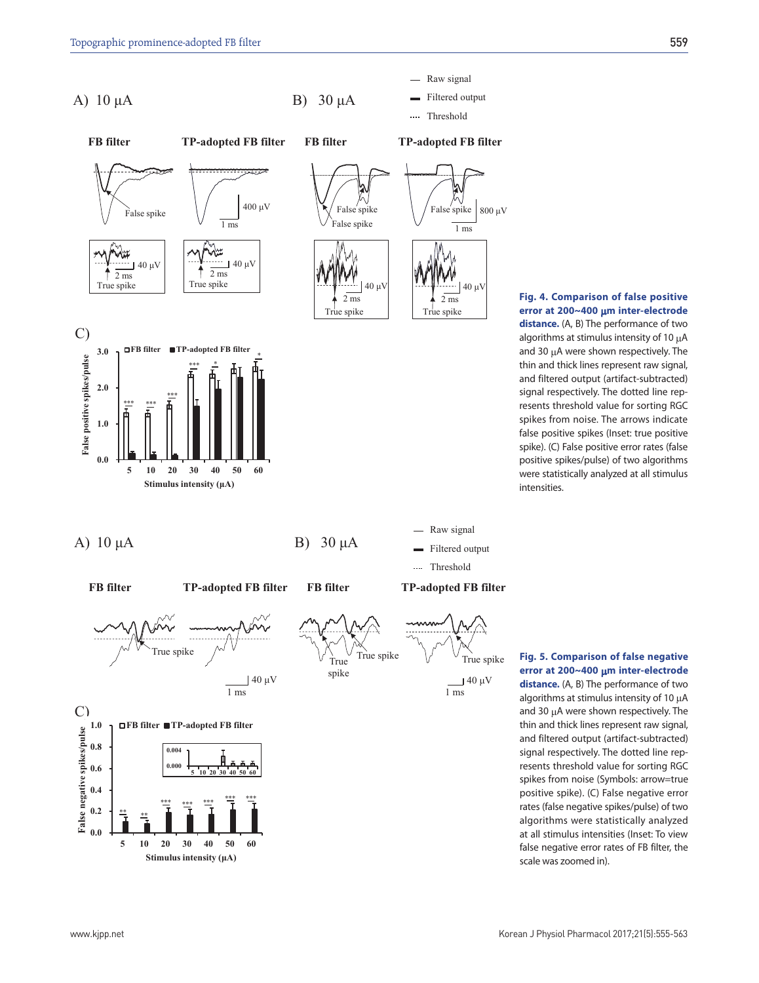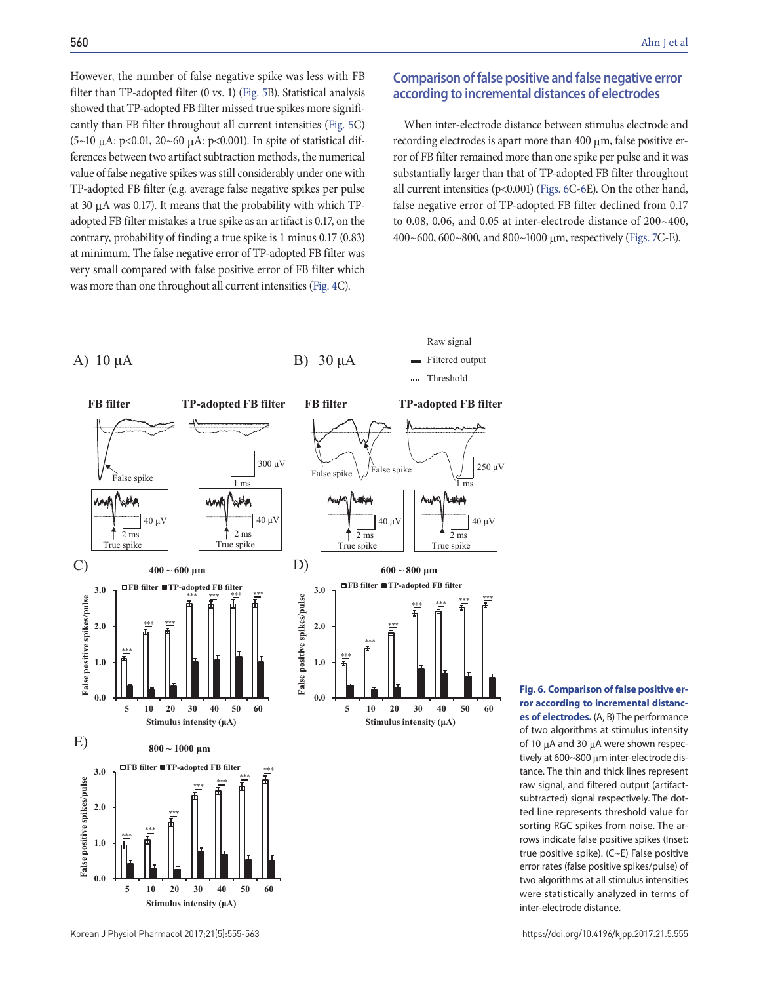However, the number of false negative spike was less with FB filter than TP-adopted filter (0 vs. 1) (Fig. 5B). Statistical analysis showed that TP-adopted FB filter missed true spikes more significantly than FB filter throughout all current intensities (Fig. 5C) (5~10  $\mu$ A: p<0.01, 20~60  $\mu$ A: p<0.001). In spite of statistical differences between two artifact subtraction methods, the numerical value of false negative spikes was still considerably under one with TP-adopted FB filter (e.g. average false negative spikes per pulse at 30 μA was 0.17). It means that the probability with which TPadopted FB filter mistakes a true spike as an artifact is 0.17, on the contrary, probability of finding a true spike is 1 minus 0.17 (0.83) at minimum. The false negative error of TP-adopted FB filter was very small compared with false positive error of FB filter which was more than one throughout all current intensities (Fig. 4C).

### **Comparison of false positive and false negative error according to incremental distances of electrodes**

When inter-electrode distance between stimulus electrode and recording electrodes is apart more than 400 μm, false positive error of FB filter remained more than one spike per pulse and it was substantially larger than that of TP-adopted FB filter throughout all current intensities (p<0.001) (Figs. 6C-6E). On the other hand, false negative error of TP-adopted FB filter declined from 0.17 to 0.08, 0.06, and 0.05 at inter-electrode distance of 200~400, 400~600, 600~800, and 800~1000 μm, respectively (Figs. 7C-E).



**ror according to incremental distances of electrodes.** (A, B) The performance of two algorithms at stimulus intensity of 10 μA and 30 μA were shown respectively at 600~800 μm inter-electrode distance. The thin and thick lines represent raw signal, and filtered output (artifactsubtracted) signal respectively. The dotted line represents threshold value for

sorting RGC spikes from noise. The arrows indicate false positive spikes (Inset: true positive spike). (C~E) False positive error rates (false positive spikes/pulse) of two algorithms at all stimulus intensities were statistically analyzed in terms of inter-electrode distance.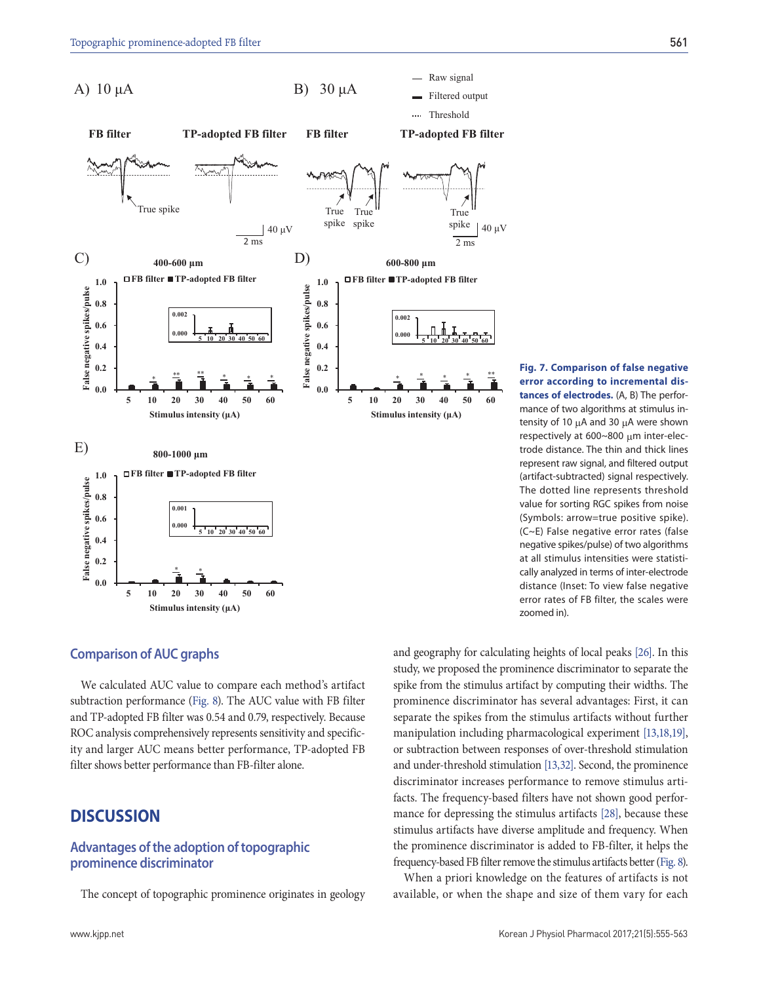

**Fig. 7. Comparison of false negative error according to incremental distances of electrodes.** (A, B) The performance of two algorithms at stimulus intensity of 10 μA and 30 μA were shown respectively at 600~800 μm inter-electrode distance. The thin and thick lines represent raw signal, and filtered output (artifact-subtracted) signal respectively. The dotted line represents threshold value for sorting RGC spikes from noise (Symbols: arrow=true positive spike). (C~E) False negative error rates (false negative spikes/pulse) of two algorithms at all stimulus intensities were statistically analyzed in terms of inter-electrode distance (Inset: To view false negative error rates of FB filter, the scales were zoomed in).

#### **Comparison of AUC graphs**

We calculated AUC value to compare each method's artifact subtraction performance (Fig. 8). The AUC value with FB filter and TP-adopted FB filter was 0.54 and 0.79, respectively. Because ROC analysis comprehensively represents sensitivity and specificity and larger AUC means better performance, TP-adopted FB filter shows better performance than FB-filter alone.

# **Discussion**

#### **Advantages of the adoption of topographic prominence discriminator**

The concept of topographic prominence originates in geology

and geography for calculating heights of local peaks [26]. In this study, we proposed the prominence discriminator to separate the spike from the stimulus artifact by computing their widths. The prominence discriminator has several advantages: First, it can separate the spikes from the stimulus artifacts without further manipulation including pharmacological experiment [13,18,19], or subtraction between responses of over-threshold stimulation and under-threshold stimulation [13,32]. Second, the prominence discriminator increases performance to remove stimulus artifacts. The frequency-based filters have not shown good performance for depressing the stimulus artifacts [28], because these stimulus artifacts have diverse amplitude and frequency. When the prominence discriminator is added to FB-filter, it helps the frequency-based FB filter remove the stimulus artifacts better (Fig. 8).

When a priori knowledge on the features of artifacts is not available, or when the shape and size of them vary for each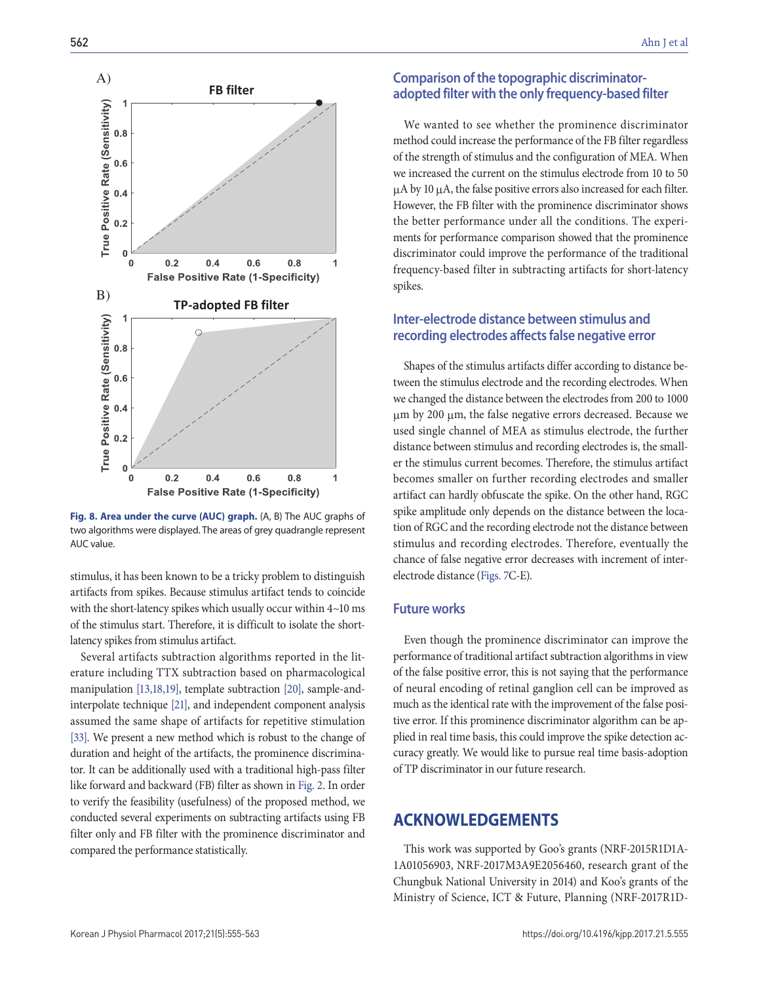

**Fig. 8. Area under the curve (AUC) graph.** (A, B) The AUC graphs of two algorithms were displayed. The areas of grey quadrangle represent AUC value.

stimulus, it has been known to be a tricky problem to distinguish artifacts from spikes. Because stimulus artifact tends to coincide with the short-latency spikes which usually occur within 4~10 ms of the stimulus start. Therefore, it is difficult to isolate the shortlatency spikes from stimulus artifact.

Several artifacts subtraction algorithms reported in the literature including TTX subtraction based on pharmacological manipulation [13,18,19], template subtraction [20], sample-andinterpolate technique [21], and independent component analysis assumed the same shape of artifacts for repetitive stimulation [33]. We present a new method which is robust to the change of duration and height of the artifacts, the prominence discriminator. It can be additionally used with a traditional high-pass filter like forward and backward (FB) filter as shown in Fig. 2. In order to verify the feasibility (usefulness) of the proposed method, we conducted several experiments on subtracting artifacts using FB filter only and FB filter with the prominence discriminator and compared the performance statistically.

#### **Comparison of the topographic discriminatoradopted filter with the only frequency-based filter**

We wanted to see whether the prominence discriminator method could increase the performance of the FB filter regardless of the strength of stimulus and the configuration of MEA. When we increased the current on the stimulus electrode from 10 to 50 μA by 10 μA, the false positive errors also increased for each filter. However, the FB filter with the prominence discriminator shows the better performance under all the conditions. The experiments for performance comparison showed that the prominence discriminator could improve the performance of the traditional frequency-based filter in subtracting artifacts for short-latency spikes.

### **Inter-electrode distance between stimulus and recording electrodes affects false negative error**

Shapes of the stimulus artifacts differ according to distance between the stimulus electrode and the recording electrodes. When we changed the distance between the electrodes from 200 to 1000 μm by 200 μm, the false negative errors decreased. Because we used single channel of MEA as stimulus electrode, the further distance between stimulus and recording electrodes is, the smaller the stimulus current becomes. Therefore, the stimulus artifact becomes smaller on further recording electrodes and smaller artifact can hardly obfuscate the spike. On the other hand, RGC spike amplitude only depends on the distance between the location of RGC and the recording electrode not the distance between stimulus and recording electrodes. Therefore, eventually the chance of false negative error decreases with increment of interelectrode distance (Figs. 7C-E).

#### **Future works**

Even though the prominence discriminator can improve the performance of traditional artifact subtraction algorithms in view of the false positive error, this is not saying that the performance of neural encoding of retinal ganglion cell can be improved as much as the identical rate with the improvement of the false positive error. If this prominence discriminator algorithm can be applied in real time basis, this could improve the spike detection accuracy greatly. We would like to pursue real time basis-adoption of TP discriminator in our future research.

## **ACKNOWLEDGEMENTS**

This work was supported by Goo's grants (NRF-2015R1D1A-1A01056903, NRF-2017M3A9E2056460, research grant of the Chungbuk National University in 2014) and Koo's grants of the Ministry of Science, ICT & Future, Planning (NRF-2017R1D-